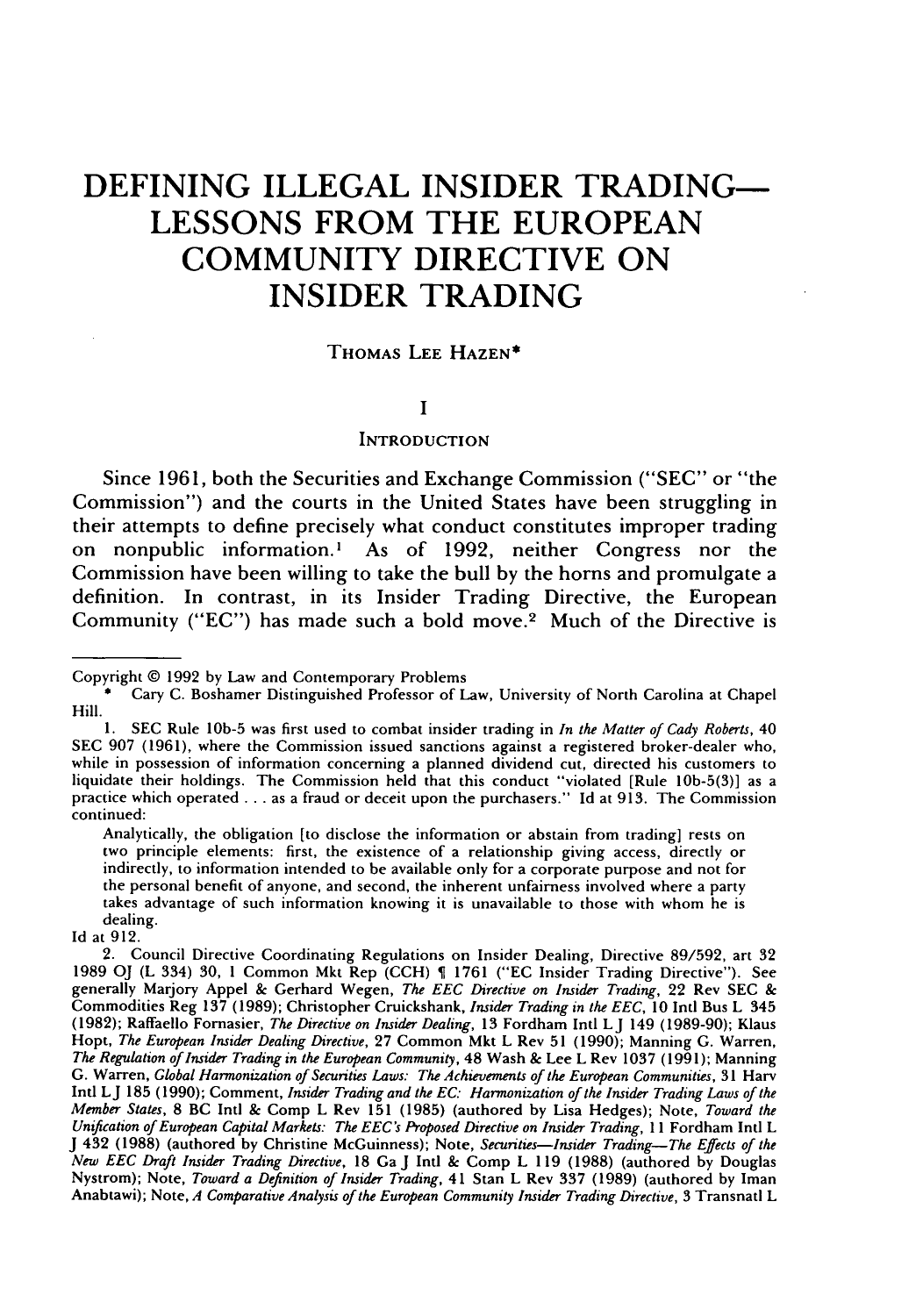# **DEFINING ILLEGAL INSIDER TRADING-LESSONS FROM THE EUROPEAN COMMUNITY DIRECTIVE ON INSIDER TRADING**

#### THOMAS **LEE** HAZEN\*

#### **I**

#### **INTRODUCTION**

Since 1961, both the Securities and Exchange Commission ("SEC" or "the Commission") and the courts in the United States have been struggling in their attempts to define precisely what conduct constitutes improper trading on nonpublic information.' As of 1992, neither Congress nor the Commission have been willing to take the bull by the horns and promulgate a definition. In contrast, in its Insider Trading Directive, the European Community ("EC") has made such a bold move.<sup>2</sup> Much of the Directive is

Analytically, the obligation [to disclose the information or abstain from trading] rests on two principle elements: first, the existence of a relationship giving access, directly or indirectly, to information intended to be available only for a corporate purpose and not for the personal benefit of anyone, and second, the inherent unfairness involved where a party takes advantage of such information knowing it is unavailable to those with whom he is dealing.

Id at 912.

Copyright © 1992 by Law and Contemporary Problems

Cary C. Boshamer Distinguished Professor of Law, University of North Carolina at Chapel Hill.

<sup>1.</sup> SEC Rule 1Ob-5 was first used to combat insider trading in In *the Matter of Cady Roberts,* 40 SEC 907 (1961), where the Commission issued sanctions against a registered broker-dealer who, while in possession of information concerning a planned dividend cut, directed his customers to liquidate their holdings. The Commission held that this conduct "violated [Rule 10b-5(3)] as a practice which operated . . . as a fraud or deceit upon the purchasers." Id at 913. The Commission continued:

<sup>2.</sup> Council Directive Coordinating Regulations on Insider Dealing, Directive 89/592, art 32 1989 OJ (L 334) 30, 1 Common Mkt Rep (CCH) ¶ 1761 ("EC Insider Trading Directive"). See generally Marjory Appel & Gerhard Wegen, *The EEC Directive on Insider Trading,* 22 Rev **SEC** & Commodities Reg 137 (1989); Christopher Cruickshank, *Insider Trading in the EEC,* 10 Intl Bus L 345 (1982); Raffaello Fornasier, *The Directive on Insider Dealing,* 13 Fordham Intl L **J** 149 (1989-90); Klaus Hopt, *The European Insider Dealing Directive,* 27 Common Mkt L Rev 51 (1990); Manning **G.** Warren, *The Regulation of Insider Trading in the European Community,* 48 Wash & Lee L Rev 1037 (1991); Manning **G.** Warren, *Global Harmonization of Securities Laws: The Achievements of the European Communities,* 31 Harv Intl LJ **185** (1990); Comment, *Insider Trading and the EC: Harmonization of the Insider Trading Laws of the Member States,* 8 BC Intl & Comp L Rev 151 (1985) (authored by Lisa Hedges); Note, *Toward* the *Unification of European Capital Markets: The EEC's Proposed Directive on Insider Trading,* 11 Fordham Intl L J 432 (1988) (authored by Christine McGuinness); Note, *Securities-Insider Trading-The Effects of the New EEC Draft Insider Trading Directive,* 18 Ga J Intl & Comp L 119 (1988) (authored by Douglas Nystrom); Note, *Toward a Definition of Insider Trading,* 41 Stan L Rev 337 (1989) (authored by Iman Anabtawi); Note, *A Comparative Analysis of the European Community Insider Trading Directive*, 3 Transnatl L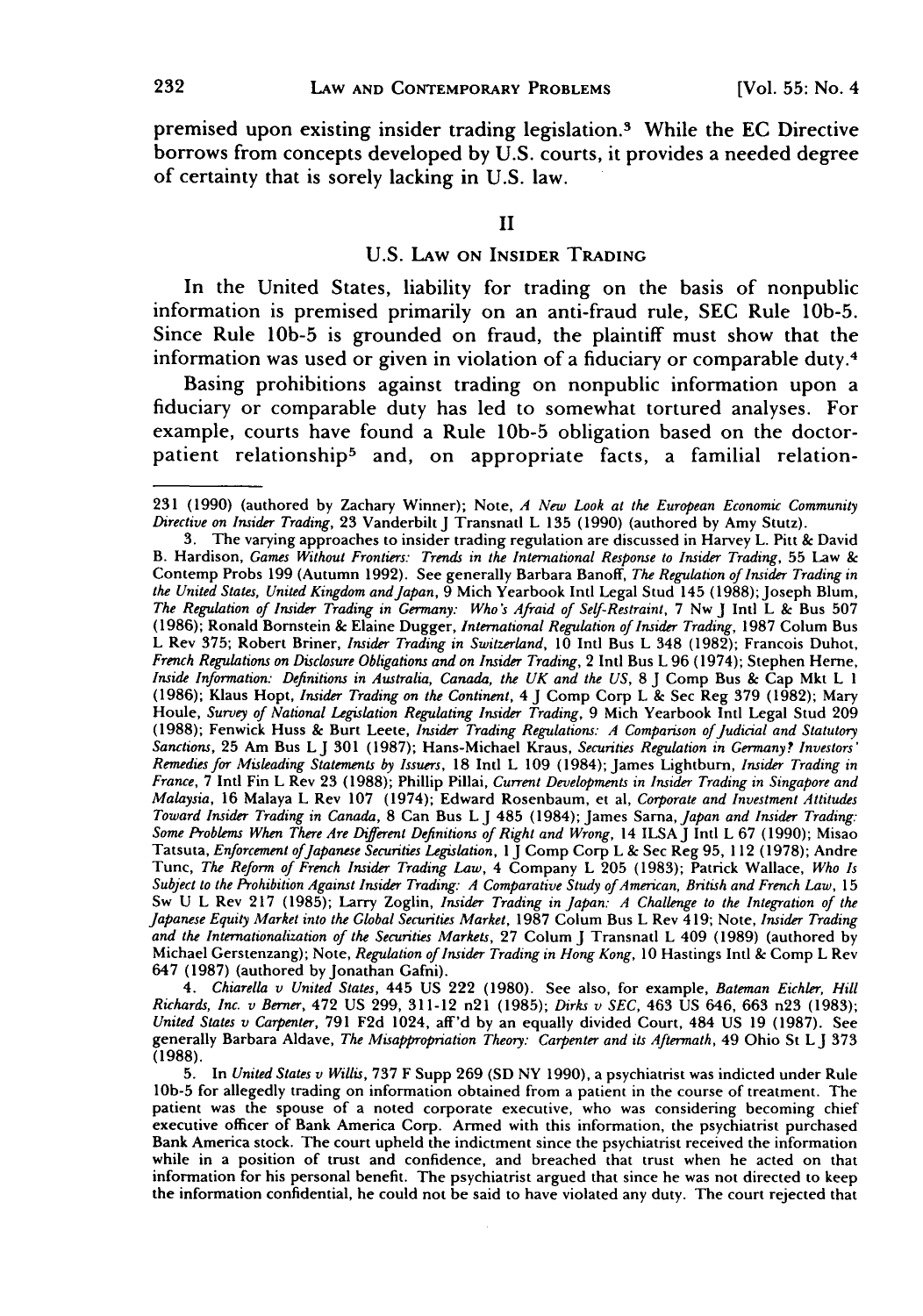premised upon existing insider trading legislation.3 While the **EC** Directive borrows from concepts developed **by U.S.** courts, it provides a needed degree **of certainty** that is sorely lacking in **U.S.** law.

# II

## **U.S. LAw ON INSIDER TRADING**

In the United States, liability for trading on the basis of nonpublic information is premised primarily on an anti-fraud rule, **SEC** Rule **lOb-5.** Since Rule **lOb-5** is grounded on fraud, the plaintiff must show that the information was used or given in violation of a fiduciary or comparable duty. <sup>4</sup>

Basing prohibitions against trading on nonpublic information upon a fiduciary or comparable duty has led to somewhat tortured analyses. For example, courts have found a Rule **lOb-5** obligation based on the doctorpatient relationship<sup>5</sup> and, on appropriate facts, a familial relation-

4. *Chiarella v United States,* 445 US 222 (1980). See also, for example, *Bateman Eichler, Hill Richards, Inc. v Berner,* 472 US 299, 311-12 n21 (1985); *Dirks v SEC,* 463 US 646, 663 n23 (1983); *United States v Carpenter,* 791 F2d 1024, aff'd by an equally divided Court, 484 US 19 (1987). See generally Barbara Aldave, *The Misappropriation Theory: Carpenter and its Aftermath,* 49 Ohio St L J 373 **(1988).**

**<sup>231 (1990)</sup>** (authored by Zachary Winner); Note, *A New Look at the European Economic Community Directive on Insider Trading,* 23 Vanderbilt J Transnatl L 135 (1990) (authored by Amy Stutz).

<sup>3.</sup> The varying approaches to insider trading regulation are discussed in Harvey L. Pitt & David B. Hardison, *Games Without Frontiers: Trends in the International Response to Insider Trading*, 55 Law & Contemp Probs 199 (Autumn 1992). See generally Barbara Banoff, *The Regulation of Insider Trading in the United States, United Kingdom and Japan,* 9 Mich Yearbook Intl Legal Stud 145 (1988); Joseph Blum, *The Regulation of Insider Trading in Germany: Who's Afraid of Self-Restraint,* 7 Nw J Intl L & Bus 507 (1986); Ronald Bornstein & Elaine Dugger, *International Regulation of Insider Trading,* 1987 Colum Bus L Rev 375; Robert Briner, *Insider Trading in Switzerland,* 10 Intl Bus L 348 (1982); Francois Duhot, *French Regulations on Disclosure Obligations and on Insider Trading,* 2 Intl Bus L 96 (1974); Stephen Herne, *Inside Information: Definitions in Australia, Canada, the UK and the US,* 8 J Comp Bus & Cap Mkt L 1 (1986); Klaus Hopt, *Insider Trading on the Continent,* 4 J Comp Corp L & Sec Reg 379 (1982); Mary Houle, *Survey of National Legislation Regulating Insider Trading,* 9 Mich Yearbook Intl Legal Stud 209 (1988); Fenwick Huss & Burt Leete, *Insider Trading Regulations: A Comparison of Judicial and Statutory Sanctions,* 25 Am Bus LJ 301 (1987); Hans-Michael Kraus, *Securities Regulation in Germany? Investors' Remedies for Misleading Statements by Issuers,* 18 Intl L 109 (1984); James Lightburn, *Insider Trading in France,* 7 Intl Fin L Rev 23 (1988); Phillip Pillai, *Current Developments in Insider Trading in Singapore and Malaysia,* 16 Malaya L Rev 107 (1974); Edward Rosenbaum, et al, *Corporate and Investment Attitudes Toward Insider Trading in Canada,* 8 Can Bus L J 485 (1984); James Sarna, *Japan and Insider Trading:* Some Problems When There Are Different Definitions of Right and Wrong, 14 ILSA I Intl L 67 (1990); Misac Tatsuta, *Enforcement oflapanese Securities Legislation,* 1J Comp Corp L & Sec Reg 95, 112 (1978); Andre Tunc, *The Reform of French Insider Trading Law,* 4 Company L 205 (1983); Patrick Wallace, *Who Is Subject to the Prohibition Against Insider Trading: A Comparative Study of American, British and French Law, 15* Sw U L Rev 217 (1985); Larry Zoglin, *Insider Trading in Japan: A Challenge to the Integration of the Japanese Equity Market into the Global Securities Market,* 1987 Colum Bus L Rev 419; Note, *Insider Trading and the Internationalization of the Securities Markets,* 27 Colum J Transnatl L 409 (1989) (authored by Michael Gerstenzang); Note, *Regulation of Insider Trading in Hong Kong,* 10 Hastings Intl & Comp L Rev 647 (1987) (authored by Jonathan Gafni).

**<sup>5.</sup>** In *United States v Willis,* **737** F Supp **269 (SD** NY **1990),** a psychiatrist was indicted under Rule **lOb-5** for allegedly trading on information obtained from a patient in the course of treatment. The patient was the spouse of a noted corporate executive, who was considering becoming chief executive officer of Bank America Corp. Armed with this information, the psychiatrist purchased Bank America stock. The court upheld the indictment since the psychiatrist received the information while in a position of trust and confidence, and breached that trust when he acted on that information for his personal benefit. The psychiatrist argued that since he was not directed to keep the information confidential, he could not be said to have violated any duty. The court rejected that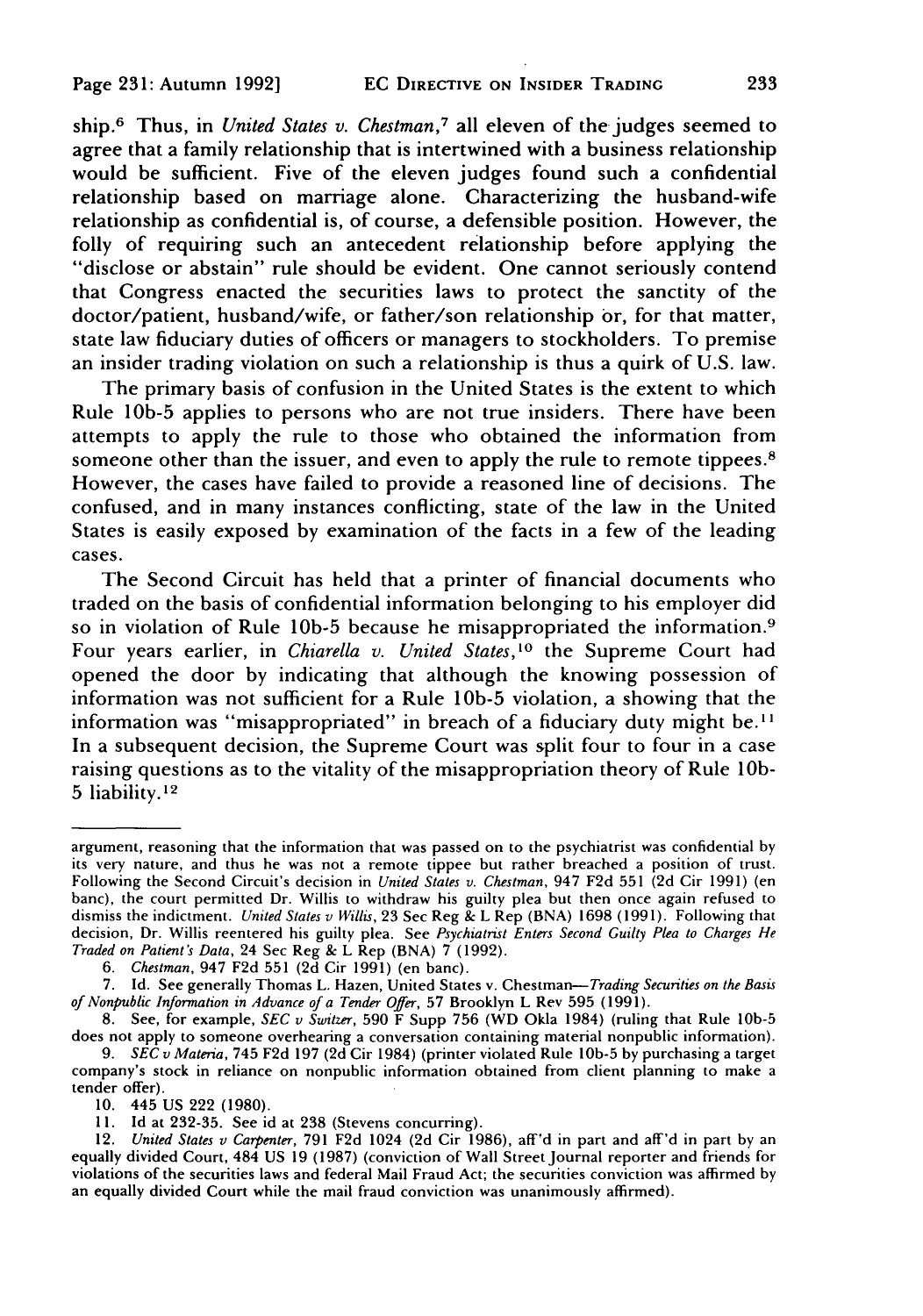ship.6 Thus, in *United States v. Chestman,7* all eleven of the judges seemed to agree that a family relationship that is intertwined with a business relationship would be sufficient. Five of the eleven judges found such a confidential relationship based on marriage alone. Characterizing the husband-wife relationship as confidential is, of course, a defensible position. However, the folly of requiring such an antecedent relationship before applying the "disclose or abstain" rule should be evident. One cannot seriously contend that Congress enacted the securities laws to protect the sanctity of the doctor/patient, husband/wife, or father/son relationship or, for that matter, state law fiduciary duties of officers or managers to stockholders. To premise an insider trading violation on such a relationship is thus a quirk of U.S. law.

The primary basis of confusion in the United States is the extent to which Rule **lOb-5** applies to persons who are not true insiders. There have been attempts to apply the rule to those who obtained the information from someone other than the issuer, and even to apply the rule to remote tippees.<sup>8</sup> However, the cases have failed to provide a reasoned line of decisions. The confused, and in many instances conflicting, state of the law in the United States is easily exposed by examination of the facts in a few of the leading cases.

The Second Circuit has held that a printer of financial documents who traded on the basis of confidential information belonging to his employer did so in violation of Rule **lOb-5** because he misappropriated the information. <sup>9</sup> Four years earlier, in *Chiarella v. United States*,<sup>10</sup> the Supreme Court had opened the door by indicating that although the knowing possession of information was not sufficient for a Rule **1Ob-5** violation, a showing that the information was "misappropriated" in breach of a fiduciary duty might be.<sup>11</sup> In a subsequent decision, the Supreme Court was split four to four in a case raising questions as to the vitality of the misappropriation theory of Rule lOb-5 liability. 12

10. 445 US 222 (1980).

argument, reasoning that the information that was passed on to the psychiatrist was confidential by its very nature, and thus he was not a remote tippee but rather breached a position of trust. Following the Second Circuit's decision in *United States v. Chestman,* 947 F2d **551** (2d Cir 1991) (en banc), the court permitted Dr. Willis to withdraw his guilty plea but then once again refused to dismiss the indictment. *United States v Willis,* 23 Sec Reg & L Rep (BNA) 1698 (1991). Following that decision, Dr. Willis reentered his guilty plea. See *Psychiatrist Enters Second Guilty Plea to Charges He Traded on Patient's Data,* 24 Sec Reg & L Rep (BNA) 7 (1992).

<sup>6.</sup> *Chestman,* 947 F2d 551 (2d Cir 1991) (en banc).

<sup>7.</sup> **Id.** See generally Thomas L. Hazen, United States v. Chestman--Trading *Securities on the Basis of Nonpublic Information in Advance of a Tender Offer,* 57 Brooklyn L Rev 595 (1991).

<sup>8.</sup> See, for example, *SEC v Switzer,* 590 F Supp 756 (WD Okla 1984) (ruling that Rule **lOb-5** does not apply to someone overhearing a conversation containing material nonpublic information).

<sup>9.</sup> *SEC v Materia,* 745 F2d 197 (2d Cir 1984) (printer violated Rule 1Ob-5 by purchasing a target company's stock in reliance on nonpublic information obtained from client planning to make a tender offer).

**<sup>11.</sup>** Id at 232-35. See id at 238 (Stevens concurring).

<sup>12.</sup> *United States v Carpenter,* 791 F2d 1024 (2d Cir 1986), aff'd in part and aff'd in part by an equally divided Court, 484 US 19 (1987) (conviction of Wall Street Journal reporter and friends for violations of the securities laws and federal Mail Fraud Act; the securities conviction was affirmed by an equally divided Court while the mail fraud conviction was unanimously affirmed).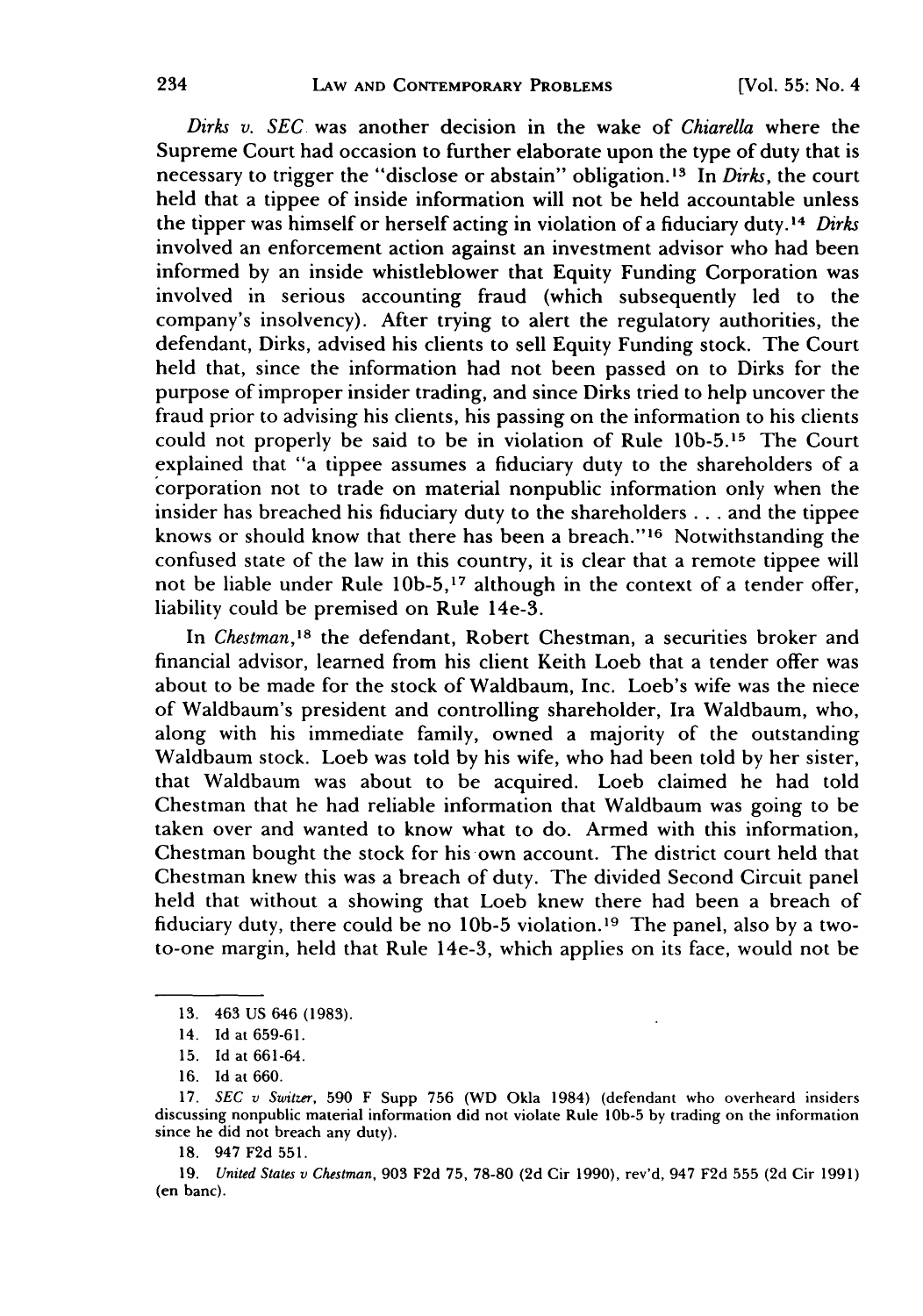*Dirks v. SEC* was another decision in the wake of *Chiarella* where the Supreme Court had occasion to further elaborate upon the type of duty that is necessary to trigger the "disclose or abstain" obligation.<sup>13</sup> In *Dirks*, the court held that a tippee of inside information will not be held accountable unless the tipper was himself or herself acting in violation of a fiduciary duty. <sup>1</sup> <sup>4</sup>*Dirks* involved an enforcement action against an investment advisor who had been informed by an inside whistleblower that Equity Funding Corporation was involved in serious accounting fraud (which subsequently led to the company's insolvency). After trying to alert the regulatory authorities, the defendant, Dirks, advised his clients to sell Equity Funding stock. The Court held that, since the information had not been passed on to Dirks for the purpose of improper insider trading, and since Dirks tried to help uncover the fraud prior to advising his clients, his passing on the information to his clients could not properly be said to be in violation of Rule lOb-5.15 The Court explained that "a tippee assumes a fiduciary duty to the shareholders of a corporation not to trade on material nonpublic information only when the insider has breached his fiduciary duty to the shareholders **...** and the tippee knows or should know that there has been a breach."<sup>16</sup> Notwithstanding the confused state of the law in this country, it is clear that a remote tippee will not be liable under Rule  $10b-5$ ,<sup>17</sup> although in the context of a tender offer, liability could be premised on Rule 14e-3.

In *Chestman*,<sup>18</sup> the defendant, Robert Chestman, a securities broker and financial advisor, learned from his client Keith Loeb that a tender offer was about to be made for the stock of Waldbaum, Inc. Loeb's wife was the niece of Waldbaum's president and controlling shareholder, Ira Waldbaum, who, along with his immediate family, owned a majority of the outstanding Waldbaum stock. Loeb was told by his wife, who had been told by her sister, that Waldbaum was about to be acquired. Loeb claimed he had told Chestman that he had reliable information that Waldbaum was going to be taken over and wanted to know what to do. Armed with this information, Chestman bought the stock for his own account. The district court held that Chestman knew this was a breach of duty. The divided Second Circuit panel held that without a showing that Loeb knew there had been a breach of fiduciary duty, there could be no **lOb-5** violation.19 The panel, also by a twoto-one margin, held that Rule 14e-3, which applies on its face, would not be

15. Id at 661-64.

<sup>13. 463</sup> US 646 (1983).

<sup>14.</sup> **Id** at 659-61.

<sup>16.</sup> Id at 660.

<sup>17.</sup> SEC *v Switzer,* 590 F Supp 756 (WD Okla 1984) (defendant who overheard insiders discussing nonpublic material information did not violate Rule **lOb-5** by trading on the information since he did not breach any duty).

**<sup>18.</sup>** 947 **F2d 551.**

**<sup>19.</sup>** *United States v Chestman,* **903 F2d 75, 78-80 (2d** Cir **1990),** rev'd, 947 **F2d 555 (2d** Cir **1991)** (en banc).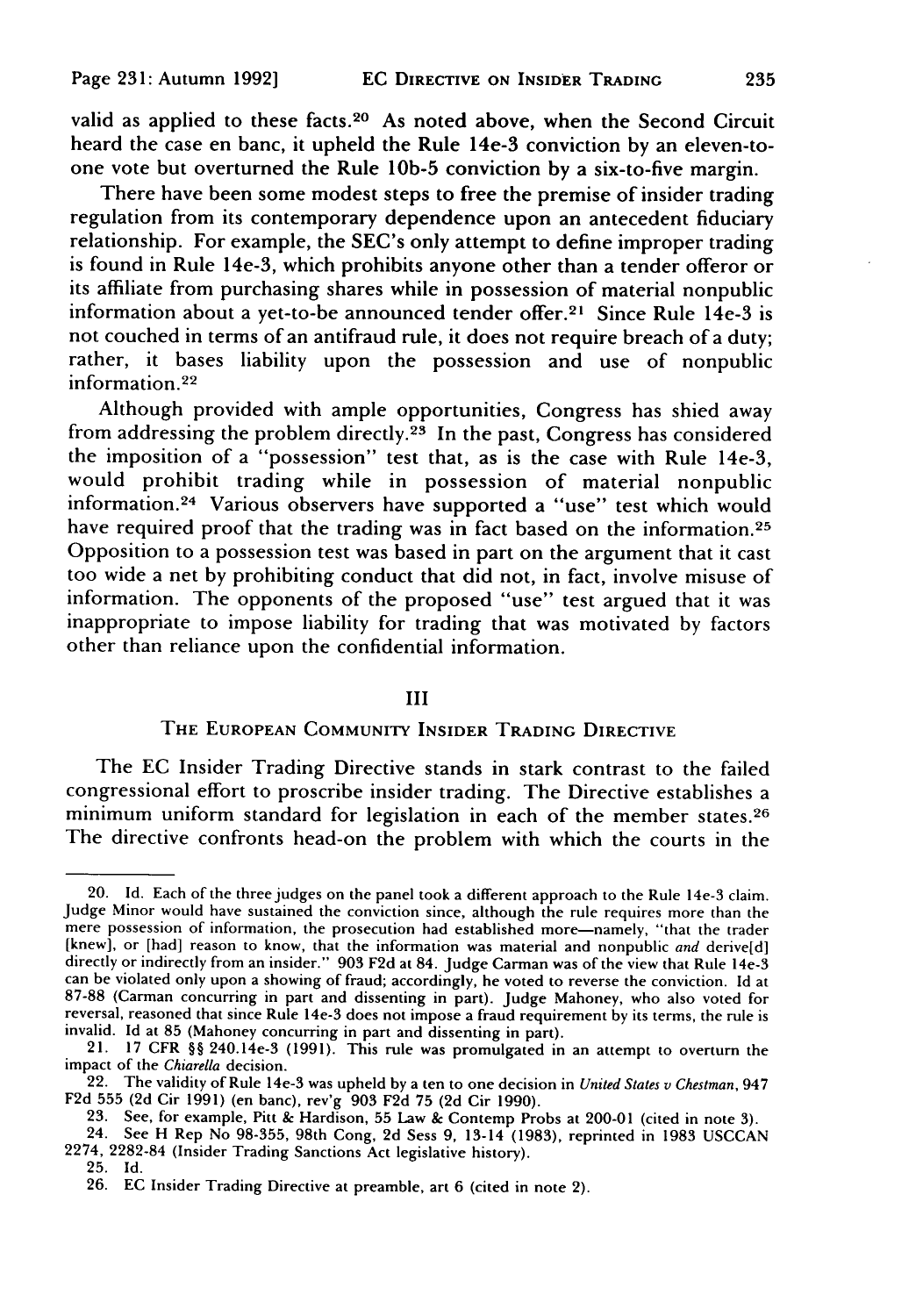valid as applied to these facts.<sup>20</sup> As noted above, when the Second Circuit heard the case en banc, it upheld the Rule 14e-3 conviction **by** an eleven-toone vote but overturned the Rule **lOb-5** conviction **by** a six-to-five margin.

There have been some modest steps to free the premise of insider trading regulation from its contemporary dependence upon an antecedent fiduciary relationship. For example, the SEC's only attempt to define improper trading **is** found in Rule 14e-3, which prohibits anyone other than a tender offeror or its affiliate from purchasing shares while in possession of material nonpublic information about a yet-to-be announced tender offer. 2' Since Rule 14e-3 **is** not couched in terms of an antifraud rule, it does not require breach of a duty; rather, it bases liability upon the possession and use of nonpublic information. <sup>22</sup>

Although provided with ample opportunities, Congress has shied away from addressing the problem directly. 23 In the past, Congress has considered the imposition of a "possession" test that, as is the case with Rule 14e-3, would prohibit trading while in possession of material nonpublic information. 24 Various observers have supported a "use" test which would have required proof that the trading was in fact based on the information.<sup>25</sup> Opposition to a possession test was based in part on the argument that it cast too wide a net **by** prohibiting conduct that did not, in fact, involve misuse of information. The opponents of the proposed "use" test argued that it was inappropriate to impose liability for trading that was motivated **by** factors other than reliance upon the confidential information.

# III

# **THE EUROPEAN COMMUNITY INSIDER TRADING DIRECTIVE**

The **EC** Insider Trading Directive stands in stark **contrast to** the failed congressional effort to proscribe insider trading. The Directive establishes a minimum uniform standard for legislation in each of the member states.<sup>26</sup> The directive confronts head-on the problem with which the courts in the

<sup>20.</sup> Id. Each of the three judges on the panel took a different approach to the Rule 14e-3 claim. Judge Minor would have sustained the conviction since, although the rule requires more than the mere possession of information, the prosecution had established more-namely, "that the trader [knew], or [had] reason to know, that the information was material and nonpublic *and* derive[d] directly or indirectly from an insider." 903 F2d at 84. Judge Carman was of the view that Rule 14e-3 can be violated only upon a showing of fraud; accordingly, he voted to reverse the conviction. **Id** at 87-88 (Carman concurring in part and dissenting in part). Judge Mahoney, who also voted for reversal, reasoned that since Rule 14e-3 does not impose a fraud requirement **by** its terms, the rule is invalid. Id at **85** (Mahoney concurring in part and dissenting in part).

<sup>21.</sup> **17** CFR *§§* 240.14e-3 (1991). This rule was promulgated in an attempt to overturn the impact of the *Chiarella* decision.

<sup>22.</sup> The validity of Rule 14e-3 was upheld **by** a ten to one decision in *United States v Chestman,* <sup>947</sup> F2d 555 (2d Cir 1991) (en banc), rev'g 903 F2d 75 (2d Cir 1990).

<sup>23.</sup> See, for example, Pitt & Hardison, 55 Law & Contemp Probs at 200-01 (cited in note 3). 24. See H Rep No 98-355, 98th Cong, 2d Sess 9, 13-14 (1983), reprinted in 1983 USCCAN

<sup>2274, 2282-84 (</sup>Insider Trading Sanctions Act legislative history).

<sup>25.</sup> Id.

<sup>26.</sup> EC Insider Trading Directive at preamble, art 6 (cited in note 2).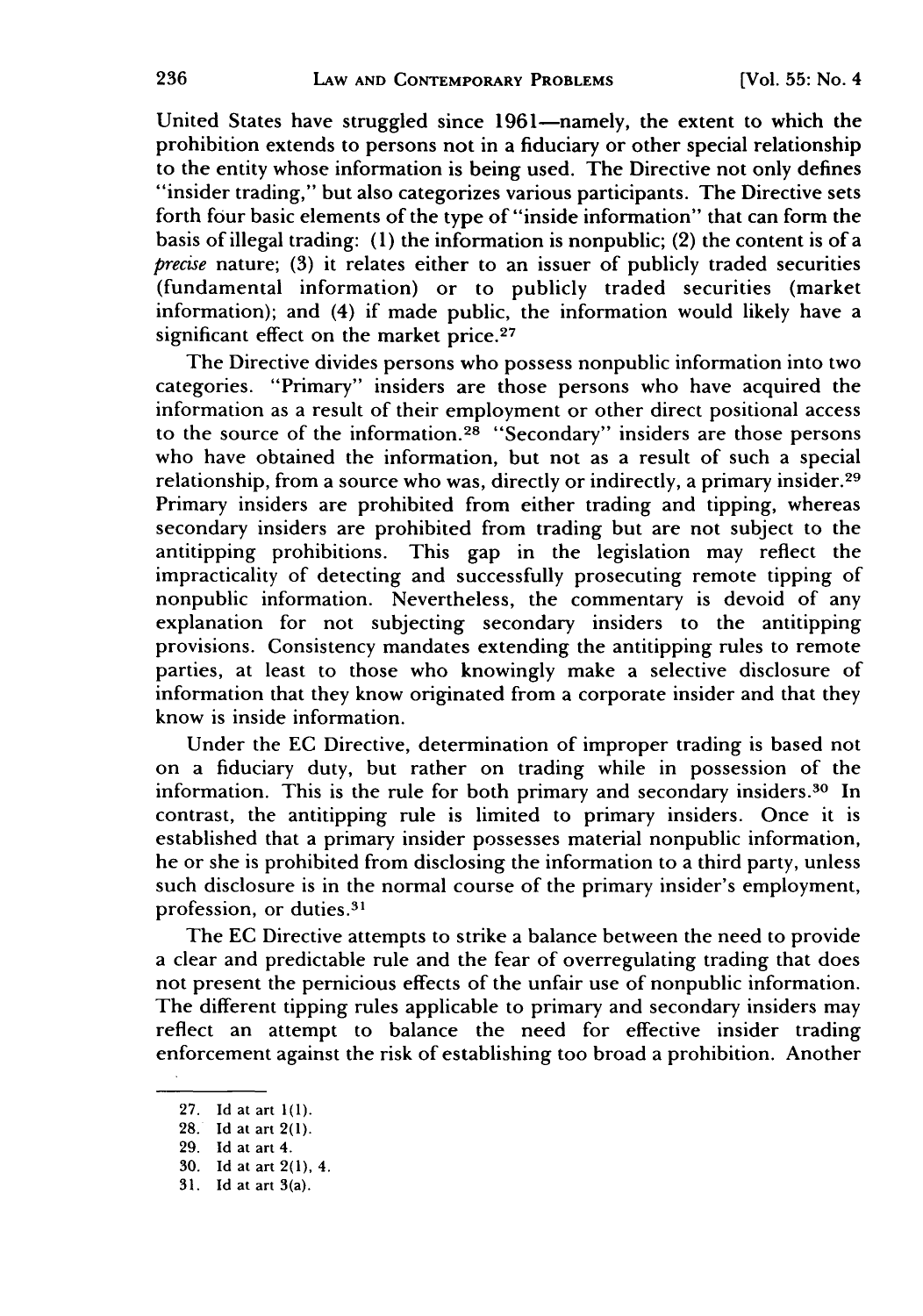United States have struggled since 1961—namely, the extent to which the prohibition extends to persons not in a fiduciary or other special relationship to the entity whose information is being used. The Directive not only defines "insider trading," but also categorizes various participants. The Directive sets forth four basic elements of the type of "inside information" that can form the basis of illegal trading: (1) the information is nonpublic; (2) the content is of a *precise* nature; (3) it relates either to an issuer of publicly traded securities (fundamental information) or to publicly traded securities (market information); and (4) if made public, the information would likely have a significant effect on the market price.<sup>27</sup>

The Directive divides persons who possess nonpublic information into two categories. "Primary" insiders are those persons who have acquired the information as a result of their employment or other direct positional access to the source of the information.28 "Secondary" insiders are those persons who have obtained the information, but not as a result of such a special relationship, from a source who was, directly or indirectly, a primary insider. <sup>29</sup> Primary insiders are prohibited from either trading and tipping, whereas secondary insiders are prohibited from trading but are not subject to the antitipping prohibitions. This gap in the legislation may reflect the impracticality of detecting and successfully prosecuting remote tipping of nonpublic information. Nevertheless, the commentary is devoid of any explanation for not subjecting secondary insiders to the antitipping provisions. Consistency mandates extending the antitipping rules to remote parties, at least to those who knowingly make a selective disclosure of information that they know originated from a corporate insider and that they know is inside information.

Under the EC Directive, determination of improper trading is based not on a fiduciary duty, but rather on trading while in possession of the information. This is the rule for both primary and secondary insiders. 30 In contrast, the antitipping rule is limited to primary insiders. Once it is established that a primary insider possesses material nonpublic information, he or she is prohibited from disclosing the information to a third party, unless such disclosure is in the normal course of the primary insider's employment, profession, or duties. <sup>31</sup>

The EC Directive attempts to strike a balance between the need to provide a clear and predictable rule and the fear of overregulating trading that does not present the pernicious effects of the unfair use of nonpublic information. The different tipping rules applicable to primary and secondary insiders may reflect an attempt to balance the need for effective insider trading enforcement against the risk of establishing too broad a prohibition. Another

**<sup>27.</sup>** Id at art 1(I).

<sup>28.</sup> **Id** at art 2(1).

<sup>29.</sup> Id at art 4.

<sup>30.</sup> Id at art 2(1), 4.

**<sup>31.</sup>** Id at art 3(a).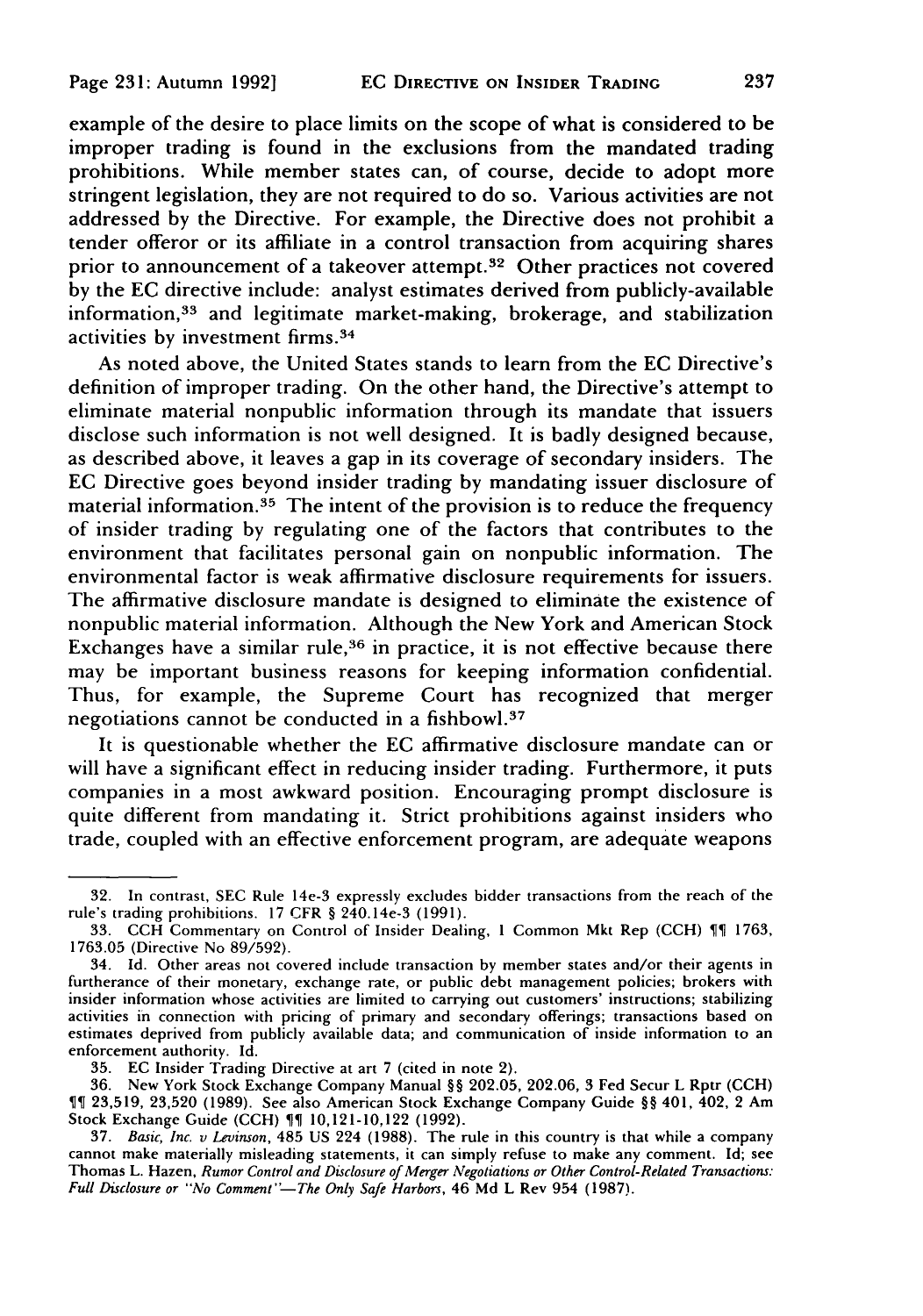example of the desire to place limits on the scope of what is considered to be improper trading is found in the exclusions from the mandated trading prohibitions. While member states can, of course, decide to adopt more stringent legislation, they are not required to do so. Various activities are not addressed **by** the Directive. For example, the Directive does not prohibit a tender offeror or its affiliate in a control transaction from acquiring shares prior to announcement of a takeover attempt.<sup>32</sup> Other practices not covered **by** the **EC** directive include: analyst estimates derived from publicly-available information, 33 and legitimate market-making, brokerage, and stabilization activities **by** investment firms.3<sup>4</sup>

As noted above, the United States stands to learn from the **EC** Directive's definition of improper trading. On the other hand, the Directive's attempt to eliminate material nonpublic information through its mandate that issuers disclose such information is not well designed. It is badly designed because, as described above, it leaves a gap in its coverage of secondary insiders. The **EC** Directive goes beyond insider trading **by** mandating issuer disclosure of material information.<sup>35</sup> The intent of the provision is to reduce the frequency of insider trading **by** regulating one of the factors that contributes to the environment that facilitates personal gain on nonpublic information. The environmental factor is weak affirmative disclosure requirements for issuers. The affirmative disclosure mandate is designed to eliminate the existence of nonpublic material information. Although the New York and American Stock Exchanges have a similar rule,<sup>36</sup> in practice, it is not effective because there may be important business reasons for keeping information confidential. Thus, for example, the Supreme Court has recognized that merger negotiations cannot be conducted in a fishbowl.<sup>37</sup>

It is questionable whether the **EC** affirmative disclosure mandate can or will have a significant effect in reducing insider trading. Furthermore, it puts companies in a most awkward position. Encouraging prompt disclosure is quite different from mandating it. Strict prohibitions against insiders who trade, coupled with an effective enforcement program, are adequate weapons

**<sup>32.</sup>** In contrast, **SEC** Rule 14e-3 expressly excludes bidder transactions from the reach of the rule's trading prohibitions. **17** CFR **§** 240.14e-3 **(1991).**

**<sup>33.</sup> CCH** Commentary on Control of Insider Dealing, **I** Common Mkt Rep **(CCH) 1763, 1763.05** (Directive No **89/592).**

<sup>34.</sup> **Id.** Other areas not covered include transaction **by** member states and/or their agents in furtherance of their monetary, exchange rate, or public debt management policies; brokers with insider information whose activities are limited to carrying out customers' instructions; stabilizing activities in connection with pricing of primary and secondary offerings; transactions based on estimates deprived from publicly available data; and communication of inside information to an enforcement authority. Id.

**<sup>35.</sup> EC** Insider Trading Directive at art **7** (cited in note 2).

**<sup>36.</sup>** New York Stock Exchange Company Manual **§§ 202.05, 202.06, 3** Fed Secur L Rptr **(CCH) 23,519, 23,520 (1989).** See also American Stock Exchange Company Guide **§§** 401, 402, 2 Am Stock Exchange Guide **(CCH)** 10,121-10,122 **(1992).**

**<sup>37.</sup>** *Basic, Inc. v Levinson,* 485 **US** 224 **(1988).** The rule in this country is that while a company cannot make materially misleading statements, it can simply refuse to make any comment. **Id;** see Thomas L. Hazen, *Rumor Control and Disclosure of Merger Negotiations or Other Control-Related Transactions: Full Disclosure or "No Comment"-The Only Safe Harbors,* 46 **Md L** Rev 954 **(1987).**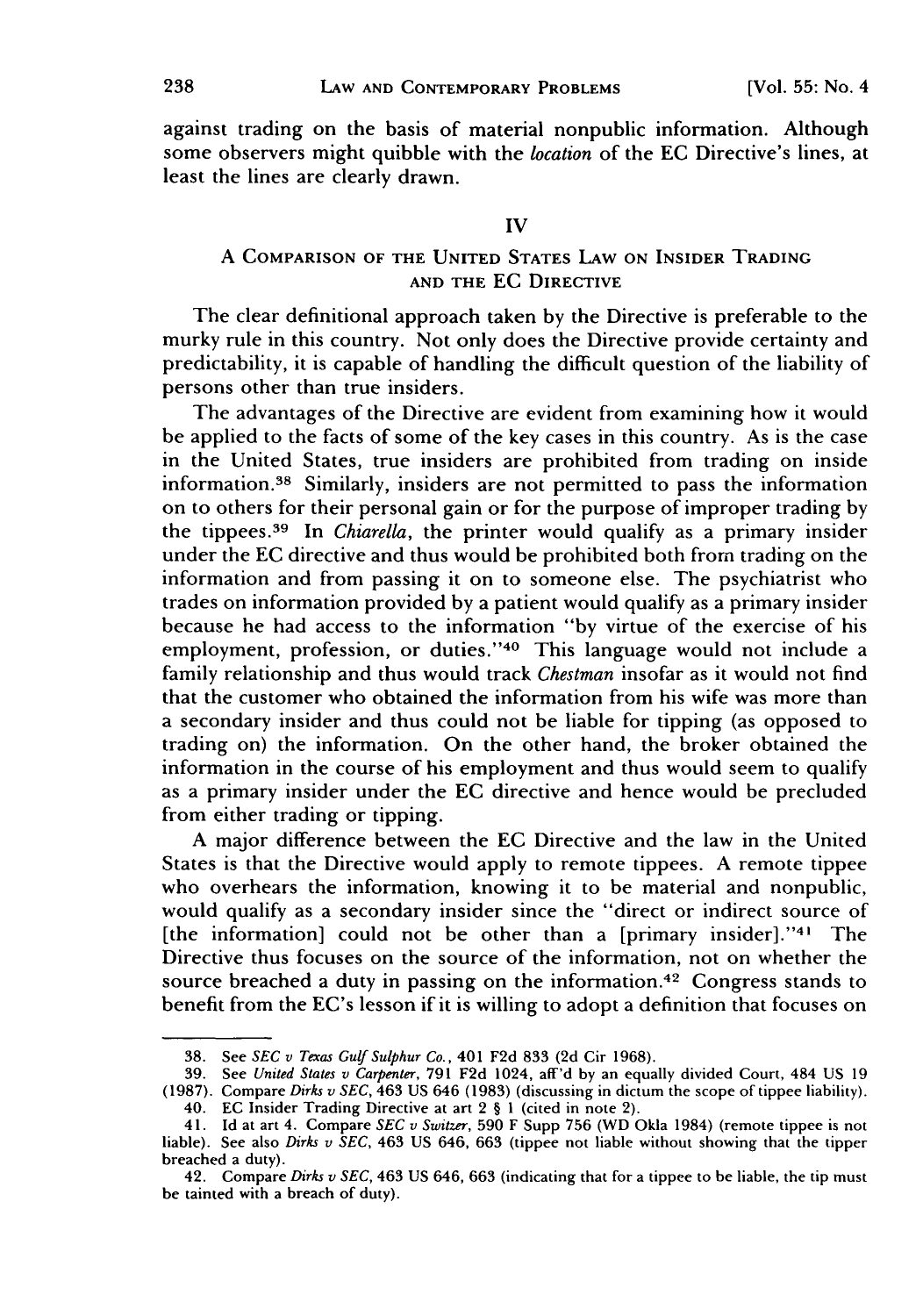against trading on the basis of material nonpublic information. Although some observers might quibble with the *location* of the EC Directive's lines, at least the lines are clearly drawn.

# IV

# A **COMPARISON OF THE UNITED STATES LAW ON INSIDER TRADING AND THE** EC **DIRECTIVE**

The clear definitional approach taken **by** the Directive is preferable to the murky rule in this country. Not only does the Directive provide certainty and predictability, it is capable of handling the difficult question of the liability of persons other than true insiders.

The advantages of the Directive are evident from examining how it would be applied to the facts of some of the key cases in this country. As is the case in the United States, true insiders are prohibited from trading on inside information. 38 Similarly, insiders are not permitted to pass the information on to others for their personal gain or for the purpose of improper trading **by** the tippees. 39 In *Chiarella,* the printer would qualify as a primary insider under the **EC** directive and thus would be prohibited both from trading on the information and from passing it on to someone else. The psychiatrist who trades on information provided **by** a patient would qualify as a primary insider because he had access to the information **"by** virtue of the exercise of his employment, profession, or duties."<sup>40</sup> This language would not include a family relationship and thus would track *Chestman* insofar as it would not find that the customer who obtained the information from his wife was more than a secondary insider and thus could not be liable for tipping (as opposed to trading on) the information. On the other hand, the broker obtained the information in the course of his employment and thus would seem to qualify as a primary insider under the **EC** directive and hence would be precluded from either trading or tipping.

**A** major difference between the **EC** Directive and the law in the United States is that the Directive would apply to remote tippees. **A** remote tippee who overhears the information, knowing it to be material and nonpublic, would qualify as a secondary insider since the "direct or indirect source of [the information] could not be other than a [primary insider]." $41$  The Directive thus focuses on the source of the information, not on whether the source breached a duty in passing on the information.<sup>42</sup> Congress stands to benefit from the EC's lesson if it is willing to adopt a definition that focuses on

**<sup>38.</sup> See** *SEC v Texas Gulf Sulphur Co.,* **401 F2d 833 (2d Cir 1968).**

**<sup>39.</sup>** See *United States v Carpenter,* **791 F2d** 1024, aff'd **by** an equally divided Court, 484 **US 19 (1987).** Compare *Dirks v SEC,* 463 **US** 646 **(1983)** (discussing in dictum the scope of tippee liability).

<sup>40.</sup> **EC** Insider Trading Directive at art 2 § **1** (cited in note 2).

<sup>41.</sup> **Id** at art 4. Compare *SEC v Switzer,* **590** F Supp **756** (WD **Okla** 1984) (remote tippee is **not** liable). See also *Dirks v SEC,* 463 **US** 646, **663** (tippee not liable without showing that the tipper breached a duty).

<sup>42.</sup> Compare *Dirks v SEC,* 463 **US** 646, **663** (indicating that for a tippee to be liable, the tip must be tainted with a breach of duty).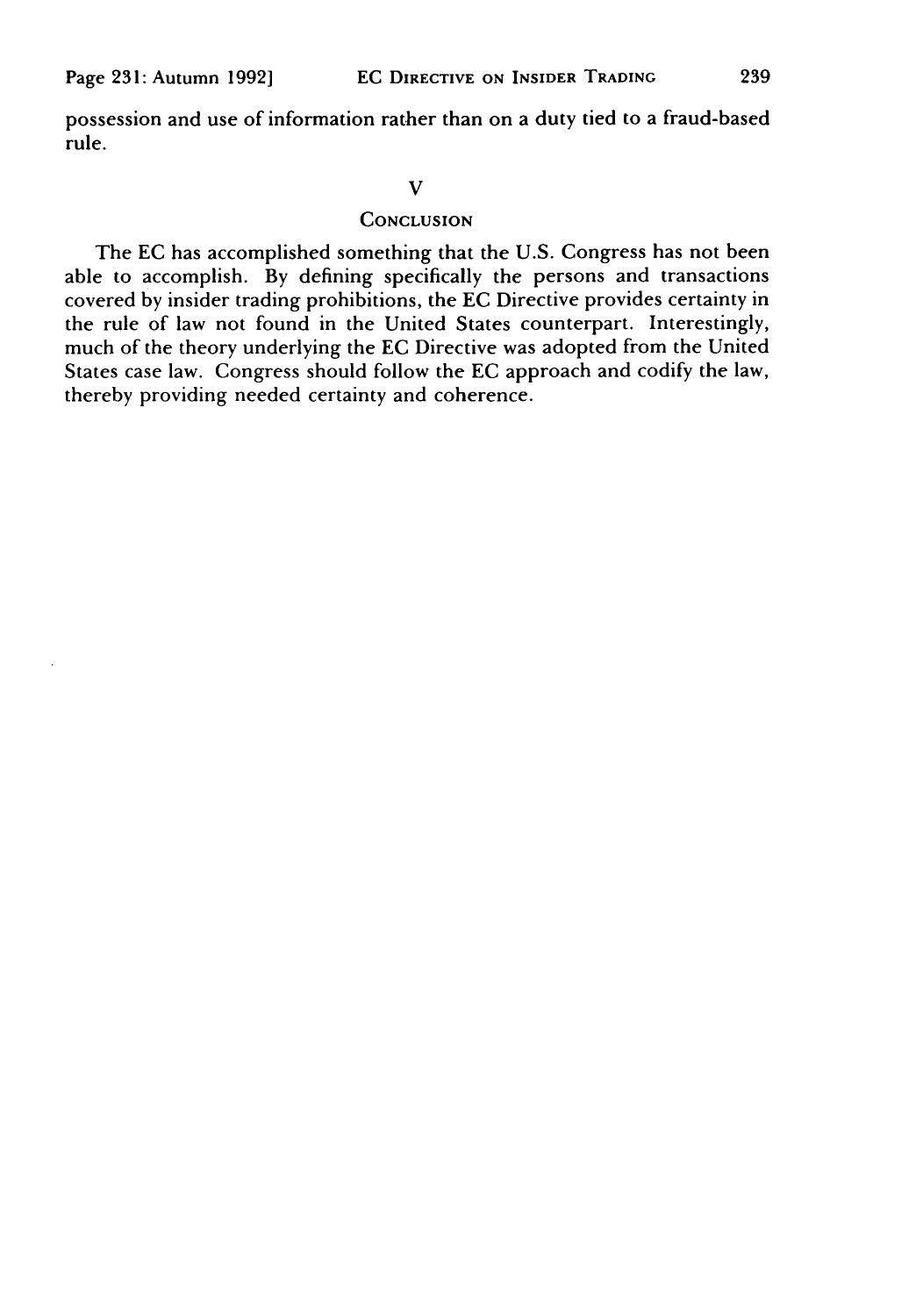possession and use of information rather than on a duty tied to a fraud-based rule.

# **V**

## **CONCLUSION**

The EC has accomplished something that the U.S. Congress has not been able to accomplish. By defining specifically the persons and transactions covered by insider trading prohibitions, the EC Directive provides certainty in the rule of law not found in the United States counterpart. Interestingly, much of the theory underlying the EC Directive was adopted from the United States case law. Congress should follow the EC approach and codify the law, thereby providing needed certainty and coherence.